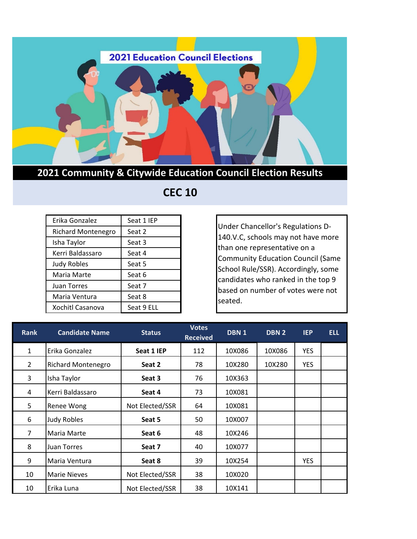

## **2021 Community & Citywide Education Council Election Results**

## **CEC 10**

| Erika Gonzalez            | Seat 1 IEP |
|---------------------------|------------|
| <b>Richard Montenegro</b> | Seat 2     |
| Isha Taylor               | Seat 3     |
| Kerri Baldassaro          | Seat 4     |
| <b>Judy Robles</b>        | Seat 5     |
| Maria Marte               | Seat 6     |
| Juan Torres               | Seat 7     |
| Maria Ventura             | Seat 8     |
| Xochitl Casanova          | Seat 9 ELL |

Under Chancellor's Regulations D-140.V.C, schools may not have more than one representative on a Community Education Council (Same School Rule/SSR). Accordingly, some candidates who ranked in the top 9 based on number of votes were not seated.

| <b>Rank</b>    | <b>Candidate Name</b>     | <b>Status</b>   | <b>Votes</b><br><b>Received</b> | DBN 1  | <b>DBN 2</b> | <b>IEP</b> | <b>ELL</b> |
|----------------|---------------------------|-----------------|---------------------------------|--------|--------------|------------|------------|
| $\mathbf{1}$   | Erika Gonzalez            | Seat 1 IEP      | 112                             | 10X086 | 10X086       | <b>YES</b> |            |
| $\overline{2}$ | <b>Richard Montenegro</b> | Seat 2          | 78                              | 10X280 | 10X280       | <b>YES</b> |            |
| 3              | Isha Taylor               | Seat 3          | 76                              | 10X363 |              |            |            |
| 4              | Kerri Baldassaro          | Seat 4          | 73                              | 10X081 |              |            |            |
| 5              | Renee Wong                | Not Elected/SSR | 64                              | 10X081 |              |            |            |
| 6              | <b>Judy Robles</b>        | Seat 5          | 50                              | 10X007 |              |            |            |
| 7              | Maria Marte               | Seat 6          | 48                              | 10X246 |              |            |            |
| 8              | Juan Torres               | Seat 7          | 40                              | 10X077 |              |            |            |
| 9              | Maria Ventura             | Seat 8          | 39                              | 10X254 |              | <b>YES</b> |            |
| 10             | <b>Marie Nieves</b>       | Not Elected/SSR | 38                              | 10X020 |              |            |            |
| 10             | Erika Luna                | Not Elected/SSR | 38                              | 10X141 |              |            |            |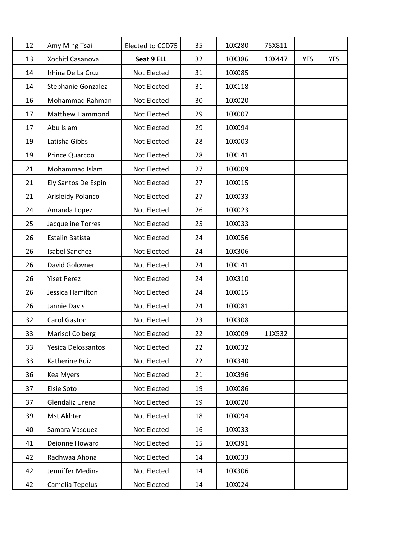| 12 | Amy Ming Tsai          | Elected to CCD75 | 35 | 10X280 | 75X811 |            |            |
|----|------------------------|------------------|----|--------|--------|------------|------------|
| 13 | Xochitl Casanova       | Seat 9 ELL       | 32 | 10X386 | 10X447 | <b>YES</b> | <b>YES</b> |
| 14 | Irhina De La Cruz      | Not Elected      | 31 | 10X085 |        |            |            |
| 14 | Stephanie Gonzalez     | Not Elected      | 31 | 10X118 |        |            |            |
| 16 | Mohammad Rahman        | Not Elected      | 30 | 10X020 |        |            |            |
| 17 | Matthew Hammond        | Not Elected      | 29 | 10X007 |        |            |            |
| 17 | Abu Islam              | Not Elected      | 29 | 10X094 |        |            |            |
| 19 | Latisha Gibbs          | Not Elected      | 28 | 10X003 |        |            |            |
| 19 | Prince Quarcoo         | Not Elected      | 28 | 10X141 |        |            |            |
| 21 | Mohammad Islam         | Not Elected      | 27 | 10X009 |        |            |            |
| 21 | Ely Santos De Espin    | Not Elected      | 27 | 10X015 |        |            |            |
| 21 | Arisleidy Polanco      | Not Elected      | 27 | 10X033 |        |            |            |
| 24 | Amanda Lopez           | Not Elected      | 26 | 10X023 |        |            |            |
| 25 | Jacqueline Torres      | Not Elected      | 25 | 10X033 |        |            |            |
| 26 | Estalin Batista        | Not Elected      | 24 | 10X056 |        |            |            |
| 26 | <b>Isabel Sanchez</b>  | Not Elected      | 24 | 10X306 |        |            |            |
| 26 | David Golovner         | Not Elected      | 24 | 10X141 |        |            |            |
| 26 | <b>Yiset Perez</b>     | Not Elected      | 24 | 10X310 |        |            |            |
| 26 | Jessica Hamilton       | Not Elected      | 24 | 10X015 |        |            |            |
| 26 | Jannie Davis           | Not Elected      | 24 | 10X081 |        |            |            |
| 32 | Carol Gaston           | Not Elected      | 23 | 10X308 |        |            |            |
| 33 | <b>Marisol Colberg</b> | Not Elected      | 22 | 10X009 | 11X532 |            |            |
| 33 | Yesica Delossantos     | Not Elected      | 22 | 10X032 |        |            |            |
| 33 | Katherine Ruiz         | Not Elected      | 22 | 10X340 |        |            |            |
| 36 | Kea Myers              | Not Elected      | 21 | 10X396 |        |            |            |
| 37 | Elsie Soto             | Not Elected      | 19 | 10X086 |        |            |            |
| 37 | Glendaliz Urena        | Not Elected      | 19 | 10X020 |        |            |            |
| 39 | Mst Akhter             | Not Elected      | 18 | 10X094 |        |            |            |
| 40 | Samara Vasquez         | Not Elected      | 16 | 10X033 |        |            |            |
| 41 | Deionne Howard         | Not Elected      | 15 | 10X391 |        |            |            |
| 42 | Radhwaa Ahona          | Not Elected      | 14 | 10X033 |        |            |            |
| 42 | Jenniffer Medina       | Not Elected      | 14 | 10X306 |        |            |            |
| 42 | Camelia Tepelus        | Not Elected      | 14 | 10X024 |        |            |            |